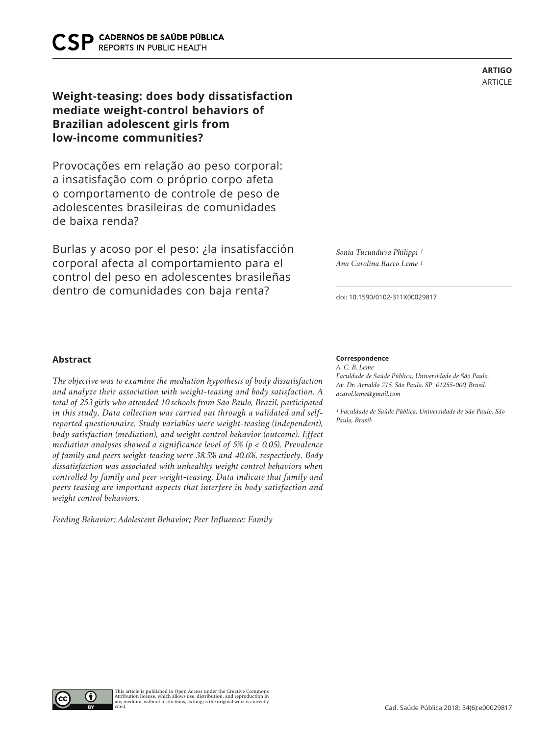# **Weight-teasing: does body dissatisfaction mediate weight-control behaviors of Brazilian adolescent girls from low-income communities?**

Provocações em relação ao peso corporal: a insatisfação com o próprio corpo afeta o comportamento de controle de peso de adolescentes brasileiras de comunidades de baixa renda?

Burlas y acoso por el peso: ¿la insatisfacción corporal afecta al comportamiento para el control del peso en adolescentes brasileñas dentro de comunidades con baja renta?

*Sonia Tucunduva Philippi 1 Ana Carolina Barco Leme 1*

doi: 10.1590/0102-311X00029817

# **Abstract**

*The objective was to examine the mediation hypothesis of body dissatisfaction and analyze their association with weight-teasing and body satisfaction. A total of 253 girls who attended 10 schools from São Paulo, Brazil, participated in this study. Data collection was carried out through a validated and selfreported questionnaire. Study variables were weight-teasing (independent), body satisfaction (mediation), and weight control behavior (outcome). Effect mediation analyses showed a significance level of 5% (p < 0.05). Prevalence of family and peers weight-teasing were 38.5% and 40.6%, respectively. Body dissatisfaction was associated with unhealthy weight control behaviors when controlled by family and peer weight-teasing. Data indicate that family and peers teasing are important aspects that interfere in body satisfaction and weight control behaviors.* 

*Feeding Behavior; Adolescent Behavior; Peer Influence; Family*

## **Correspondence**

*A. C. B. Leme Faculdade de Saúde Pública, Universidade de São Paulo. Av. Dr. Arnaldo 715, São Paulo, SP 01255-000, Brasil. acarol.leme@gmail.com*

*1 Faculdade de Saúde Pública, Universidade de São Paulo, São Paulo, Brasil.*

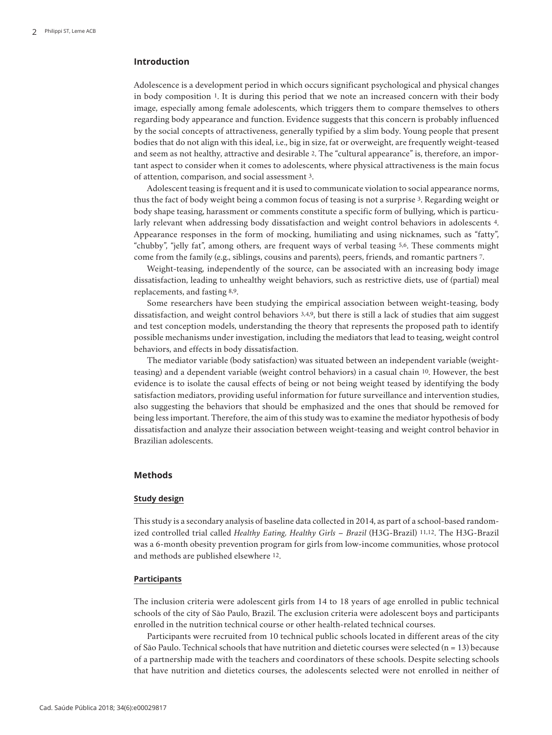# **Introduction**

Adolescence is a development period in which occurs significant psychological and physical changes in body composition 1. It is during this period that we note an increased concern with their body image, especially among female adolescents, which triggers them to compare themselves to others regarding body appearance and function. Evidence suggests that this concern is probably influenced by the social concepts of attractiveness, generally typified by a slim body. Young people that present bodies that do not align with this ideal, i.e., big in size, fat or overweight, are frequently weight-teased and seem as not healthy, attractive and desirable 2. The "cultural appearance" is, therefore, an important aspect to consider when it comes to adolescents, where physical attractiveness is the main focus of attention, comparison, and social assessment 3.

Adolescent teasing is frequent and it is used to communicate violation to social appearance norms, thus the fact of body weight being a common focus of teasing is not a surprise 3. Regarding weight or body shape teasing, harassment or comments constitute a specific form of bullying, which is particularly relevant when addressing body dissatisfaction and weight control behaviors in adolescents 4. Appearance responses in the form of mocking, humiliating and using nicknames, such as "fatty", "chubby", "jelly fat", among others, are frequent ways of verbal teasing 5,6. These comments might come from the family (e.g., siblings, cousins and parents), peers, friends, and romantic partners 7.

Weight-teasing, independently of the source, can be associated with an increasing body image dissatisfaction, leading to unhealthy weight behaviors, such as restrictive diets, use of (partial) meal replacements, and fasting 8,9.

Some researchers have been studying the empirical association between weight-teasing, body dissatisfaction, and weight control behaviors 3,4,9, but there is still a lack of studies that aim suggest and test conception models, understanding the theory that represents the proposed path to identify possible mechanisms under investigation, including the mediators that lead to teasing, weight control behaviors, and effects in body dissatisfaction.

The mediator variable (body satisfaction) was situated between an independent variable (weightteasing) and a dependent variable (weight control behaviors) in a casual chain 10. However, the best evidence is to isolate the causal effects of being or not being weight teased by identifying the body satisfaction mediators, providing useful information for future surveillance and intervention studies, also suggesting the behaviors that should be emphasized and the ones that should be removed for being less important. Therefore, the aim of this study was to examine the mediator hypothesis of body dissatisfaction and analyze their association between weight-teasing and weight control behavior in Brazilian adolescents.

## **Methods**

#### **Study design**

This study is a secondary analysis of baseline data collected in 2014, as part of a school-based randomized controlled trial called *Healthy Eating, Healthy Girls – Brazil* (H3G-Brazil) 11,12. The H3G-Brazil was a 6-month obesity prevention program for girls from low-income communities, whose protocol and methods are published elsewhere 12.

## **Participants**

The inclusion criteria were adolescent girls from 14 to 18 years of age enrolled in public technical schools of the city of São Paulo, Brazil. The exclusion criteria were adolescent boys and participants enrolled in the nutrition technical course or other health-related technical courses.

Participants were recruited from 10 technical public schools located in different areas of the city of São Paulo. Technical schools that have nutrition and dietetic courses were selected (n = 13) because of a partnership made with the teachers and coordinators of these schools. Despite selecting schools that have nutrition and dietetics courses, the adolescents selected were not enrolled in neither of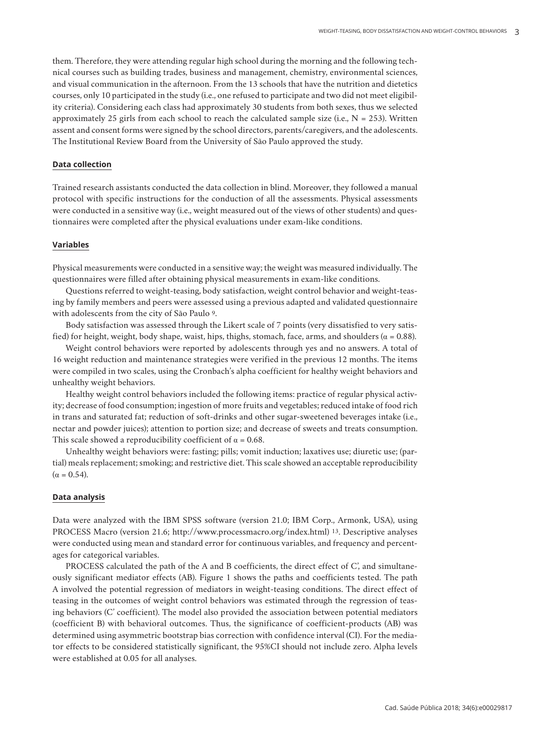them. Therefore, they were attending regular high school during the morning and the following technical courses such as building trades, business and management, chemistry, environmental sciences, and visual communication in the afternoon. From the 13 schools that have the nutrition and dietetics courses, only 10 participated in the study (i.e., one refused to participate and two did not meet eligibility criteria). Considering each class had approximately 30 students from both sexes, thus we selected approximately 25 girls from each school to reach the calculated sample size (i.e.,  $N = 253$ ). Written assent and consent forms were signed by the school directors, parents/caregivers, and the adolescents. The Institutional Review Board from the University of São Paulo approved the study.

### **Data collection**

Trained research assistants conducted the data collection in blind. Moreover, they followed a manual protocol with specific instructions for the conduction of all the assessments. Physical assessments were conducted in a sensitive way (i.e., weight measured out of the views of other students) and questionnaires were completed after the physical evaluations under exam-like conditions.

## **Variables**

Physical measurements were conducted in a sensitive way; the weight was measured individually. The questionnaires were filled after obtaining physical measurements in exam-like conditions.

Questions referred to weight-teasing, body satisfaction, weight control behavior and weight-teasing by family members and peers were assessed using a previous adapted and validated questionnaire with adolescents from the city of São Paulo 9.

Body satisfaction was assessed through the Likert scale of 7 points (very dissatisfied to very satisfied) for height, weight, body shape, waist, hips, thighs, stomach, face, arms, and shoulders ( $\alpha = 0.88$ ).

Weight control behaviors were reported by adolescents through yes and no answers. A total of 16 weight reduction and maintenance strategies were verified in the previous 12 months. The items were compiled in two scales, using the Cronbach's alpha coefficient for healthy weight behaviors and unhealthy weight behaviors.

Healthy weight control behaviors included the following items: practice of regular physical activity; decrease of food consumption; ingestion of more fruits and vegetables; reduced intake of food rich in trans and saturated fat; reduction of soft-drinks and other sugar-sweetened beverages intake (i.e., nectar and powder juices); attention to portion size; and decrease of sweets and treats consumption. This scale showed a reproducibility coefficient of  $\alpha = 0.68$ .

Unhealthy weight behaviors were: fasting; pills; vomit induction; laxatives use; diuretic use; (partial) meals replacement; smoking; and restrictive diet. This scale showed an acceptable reproducibility  $(α = 0.54)$ .

### **Data analysis**

Data were analyzed with the IBM SPSS software (version 21.0; IBM Corp., Armonk, USA), using PROCESS Macro (version 21.6; http://www.processmacro.org/index.html) 13. Descriptive analyses were conducted using mean and standard error for continuous variables, and frequency and percentages for categorical variables.

PROCESS calculated the path of the A and B coefficients, the direct effect of C', and simultaneously significant mediator effects (AB). Figure 1 shows the paths and coefficients tested. The path A involved the potential regression of mediators in weight-teasing conditions. The direct effect of teasing in the outcomes of weight control behaviors was estimated through the regression of teasing behaviors (C' coefficient). The model also provided the association between potential mediators (coefficient B) with behavioral outcomes. Thus, the significance of coefficient-products (AB) was determined using asymmetric bootstrap bias correction with confidence interval (CI). For the mediator effects to be considered statistically significant, the 95%CI should not include zero. Alpha levels were established at 0.05 for all analyses.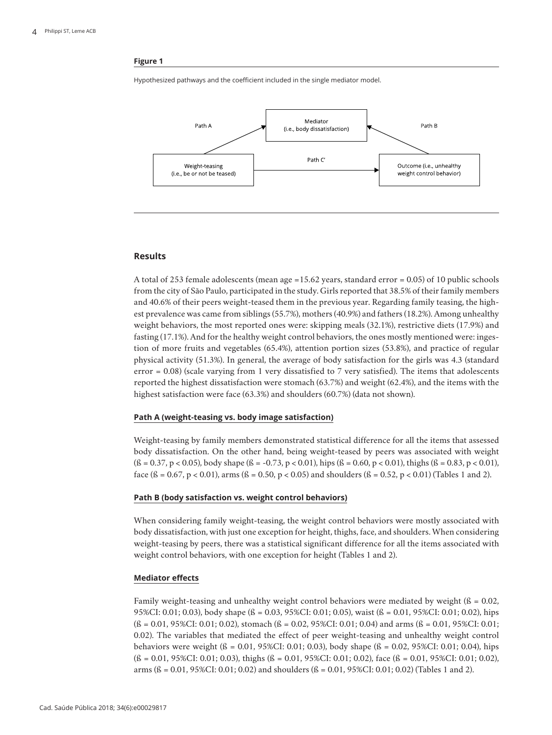#### **Figure 1**

Hypothesized pathways and the coefficient included in the single mediator model.



#### **Results**

A total of 253 female adolescents (mean age =15.62 years, standard error = 0.05) of 10 public schools from the city of São Paulo, participated in the study. Girls reported that 38.5% of their family members and 40.6% of their peers weight-teased them in the previous year. Regarding family teasing, the highest prevalence was came from siblings (55.7%), mothers (40.9%) and fathers (18.2%). Among unhealthy weight behaviors, the most reported ones were: skipping meals (32.1%), restrictive diets (17.9%) and fasting (17.1%). And for the healthy weight control behaviors, the ones mostly mentioned were: ingestion of more fruits and vegetables (65.4%), attention portion sizes (53.8%), and practice of regular physical activity (51.3%). In general, the average of body satisfaction for the girls was 4.3 (standard error = 0.08) (scale varying from 1 very dissatisfied to 7 very satisfied). The items that adolescents reported the highest dissatisfaction were stomach (63.7%) and weight (62.4%), and the items with the highest satisfaction were face (63.3%) and shoulders (60.7%) (data not shown).

## **Path A (weight-teasing vs. body image satisfaction)**

Weight-teasing by family members demonstrated statistical difference for all the items that assessed body dissatisfaction. On the other hand, being weight-teased by peers was associated with weight  $($ B = 0.37, p < 0.05), body shape (B = -0.73, p < 0.01), hips (B = 0.60, p < 0.01), thighs (B = 0.83, p < 0.01), face ( $\beta = 0.67$ ,  $p < 0.01$ ), arms ( $\beta = 0.50$ ,  $p < 0.05$ ) and shoulders ( $\beta = 0.52$ ,  $p < 0.01$ ) (Tables 1 and 2).

#### **Path B (body satisfaction vs. weight control behaviors)**

When considering family weight-teasing, the weight control behaviors were mostly associated with body dissatisfaction, with just one exception for height, thighs, face, and shoulders. When considering weight-teasing by peers, there was a statistical significant difference for all the items associated with weight control behaviors, with one exception for height (Tables 1 and 2).

## **Mediator effects**

Family weight-teasing and unhealthy weight control behaviors were mediated by weight (ß = 0.02, 95%CI: 0.01; 0.03), body shape (ß = 0.03, 95%CI: 0.01; 0.05), waist (ß = 0.01, 95%CI: 0.01; 0.02), hips  $($ ß = 0.01, 95%CI: 0.01; 0.02), stomach (ß = 0.02, 95%CI: 0.01; 0.04) and arms (ß = 0.01, 95%CI: 0.01; 0.02). The variables that mediated the effect of peer weight-teasing and unhealthy weight control behaviors were weight (ß = 0.01, 95%CI: 0.01; 0.03), body shape (ß = 0.02, 95%CI: 0.01; 0.04), hips  $($ ß = 0.01, 95%CI: 0.01; 0.03), thighs (ß = 0.01, 95%CI: 0.01; 0.02), face (ß = 0.01, 95%CI: 0.01; 0.02), arms (ß = 0.01, 95%CI: 0.01; 0.02) and shoulders (ß = 0.01, 95%CI: 0.01; 0.02) (Tables 1 and 2).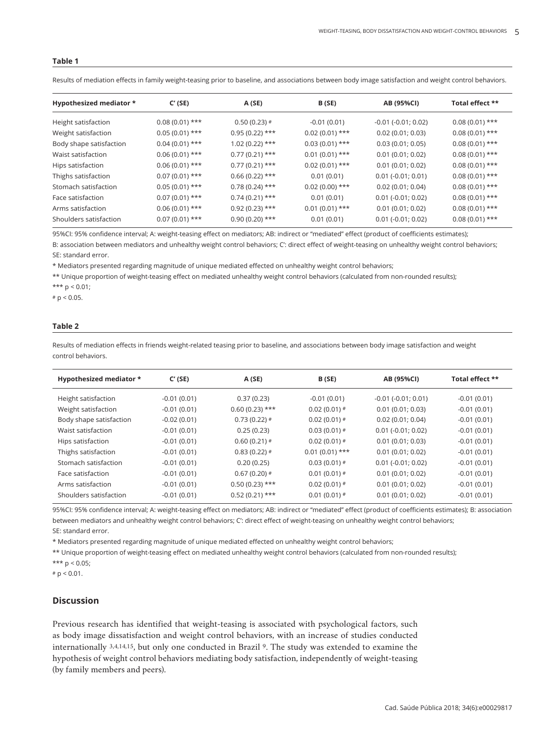| . . | ۰, | ×<br>۰, |  |
|-----|----|---------|--|
|-----|----|---------|--|

Results of mediation effects in family weight-teasing prior to baseline, and associations between body image satisfaction and weight control behaviors.

| Hypothesized mediator * | $C'$ (SE)        | A (SE)           | B (SE)           | AB (95%CI)                  | Total effect **  |
|-------------------------|------------------|------------------|------------------|-----------------------------|------------------|
| Height satisfaction     | $0.08(0.01)$ *** | $0.50(0.23)$ #   | $-0.01(0.01)$    | $-0.01$ ( $-0.01$ ; 0.02)   | $0.08(0.01)$ *** |
| Weight satisfaction     | $0.05(0.01)$ *** | $0.95(0.22)$ *** | $0.02(0.01)$ *** | 0.02(0.01; 0.03)            | $0.08(0.01)$ *** |
| Body shape satisfaction | $0.04(0.01)$ *** | $1.02(0.22)$ *** | $0.03(0.01)$ *** | 0.03(0.01; 0.05)            | $0.08(0.01)$ *** |
| Waist satisfaction      | $0.06(0.01)$ *** | $0.77(0.21)$ *** | $0.01(0.01)$ *** | 0.01(0.01; 0.02)            | $0.08(0.01)$ *** |
| Hips satisfaction       | $0.06(0.01)$ *** | $0.77(0.21)$ *** | $0.02(0.01)$ *** | 0.01(0.01; 0.02)            | $0.08(0.01)$ *** |
| Thighs satisfaction     | $0.07(0.01)$ *** | $0.66(0.22)$ *** | 0.01(0.01)       | $0.01 (-0.01; 0.01)$        | $0.08(0.01)$ *** |
| Stomach satisfaction    | $0.05(0.01)$ *** | $0.78(0.24)$ *** | $0.02(0.00)$ *** | 0.02(0.01; 0.04)            | $0.08(0.01)$ *** |
| Face satisfaction       | $0.07(0.01)$ *** | $0.74(0.21)$ *** | 0.01(0.01)       | $0.01$ ( $-0.01$ ; $0.02$ ) | $0.08(0.01)$ *** |
| Arms satisfaction       | $0.06(0.01)$ *** | $0.92(0.23)$ *** | $0.01(0.01)$ *** | 0.01(0.01; 0.02)            | $0.08(0.01)$ *** |
| Shoulders satisfaction  | $0.07(0.01)$ *** | $0.90(0.20)$ *** | 0.01(0.01)       | $0.01$ ( $-0.01$ ; $0.02$ ) | $0.08(0.01)$ *** |

95%CI: 95% confidence interval; A: weight-teasing effect on mediators; AB: indirect or "mediated" effect (product of coefficients estimates);

B: association between mediators and unhealthy weight control behaviors; C': direct effect of weight-teasing on unhealthy weight control behaviors; SE: standard error.

\* Mediators presented regarding magnitude of unique mediated effected on unhealthy weight control behaviors;

\*\* Unique proportion of weight-teasing effect on mediated unhealthy weight control behaviors (calculated from non-rounded results); \*\*\*  $p < 0.01$ ;

# p < 0.05.

#### **Table 2**

Results of mediation effects in friends weight-related teasing prior to baseline, and associations between body image satisfaction and weight control behaviors.

| Hypothesized mediator * | $C'$ (SE)     | A(SE)            | B (SE)           | AB (95%CI)                  | Total effect ** |
|-------------------------|---------------|------------------|------------------|-----------------------------|-----------------|
| Height satisfaction     | $-0.01(0.01)$ | 0.37(0.23)       | $-0.01(0.01)$    | $-0.01$ $(-0.01; 0.01)$     | $-0.01(0.01)$   |
| Weight satisfaction     | $-0.01(0.01)$ | $0.60(0.23)$ *** | $0.02(0.01)$ #   | 0.01(0.01; 0.03)            | $-0.01(0.01)$   |
| Body shape satisfaction | $-0.02(0.01)$ | $0.73(0.22)$ #   | $0.02(0.01)$ #   | 0.02(0.01; 0.04)            | $-0.01(0.01)$   |
| Waist satisfaction      | $-0.01(0.01)$ | 0.25(0.23)       | $0.03(0.01)$ #   | $0.01 (-0.01; 0.02)$        | $-0.01(0.01)$   |
| Hips satisfaction       | $-0.01(0.01)$ | $0.60(0.21)$ #   | $0.02(0.01)$ #   | 0.01(0.01; 0.03)            | $-0.01(0.01)$   |
| Thighs satisfaction     | $-0.01(0.01)$ | $0.83(0.22)$ #   | $0.01(0.01)$ *** | 0.01(0.01; 0.02)            | $-0.01(0.01)$   |
| Stomach satisfaction    | $-0.01(0.01)$ | 0.20(0.25)       | $0.03(0.01)$ #   | $0.01$ ( $-0.01$ ; $0.02$ ) | $-0.01(0.01)$   |
| Face satisfaction       | $-0.01(0.01)$ | $0.67(0.20)$ #   | $0.01(0.01)$ #   | 0.01(0.01; 0.02)            | $-0.01(0.01)$   |
| Arms satisfaction       | $-0.01(0.01)$ | $0.50(0.23)$ *** | $0.02(0.01)$ #   | 0.01(0.01; 0.02)            | $-0.01(0.01)$   |
| Shoulders satisfaction  | $-0.01(0.01)$ | $0.52(0.21)$ *** | $0.01(0.01)$ #   | 0.01(0.01; 0.02)            | $-0.01(0.01)$   |

95%CI: 95% confidence interval; A: weight-teasing effect on mediators; AB: indirect or "mediated" effect (product of coefficients estimates); B: association between mediators and unhealthy weight control behaviors; C': direct effect of weight-teasing on unhealthy weight control behaviors; SE: standard error.

\* Mediators presented regarding magnitude of unique mediated effected on unhealthy weight control behaviors;

\*\* Unique proportion of weight-teasing effect on mediated unhealthy weight control behaviors (calculated from non-rounded results); \*\*\*  $p < 0.05$ ;

 $# p < 0.01.$ 

# **Discussion**

Previous research has identified that weight-teasing is associated with psychological factors, such as body image dissatisfaction and weight control behaviors, with an increase of studies conducted internationally 3,4,14,15, but only one conducted in Brazil 9. The study was extended to examine the hypothesis of weight control behaviors mediating body satisfaction, independently of weight-teasing (by family members and peers).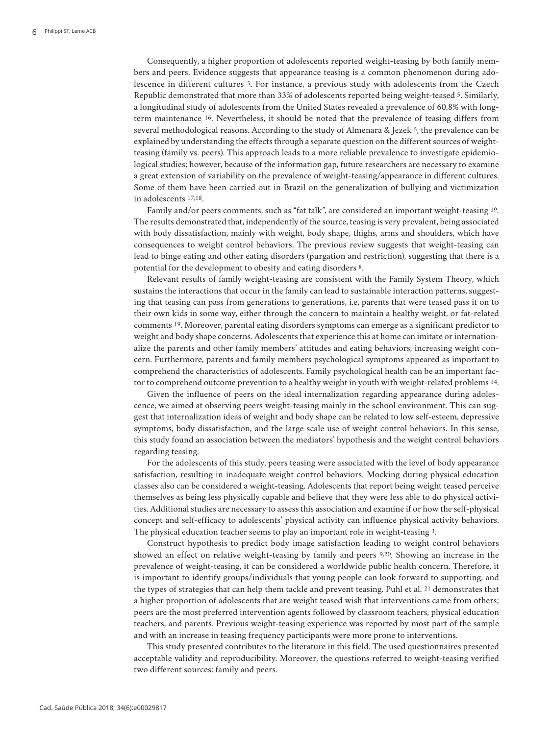Consequently, a higher proportion of adolescents reported weight-teasing by both family members and peers. Evidence suggests that appearance teasing is a common phenomenon during adolescence in different cultures 5. For instance, a previous study with adolescents from the Czech Republic demonstrated that more than 33% of adolescents reported being weight-teased 5. Similarly, a longitudinal study of adolescents from the United States revealed a prevalence of 60.8% with longterm maintenance 16. Nevertheless, it should be noted that the prevalence of teasing differs from several methodological reasons. According to the study of Almenara & Jezek 5, the prevalence can be explained by understanding the effects through a separate question on the different sources of weightteasing (family vs. peers). This approach leads to a more reliable prevalence to investigate epidemiological studies; however, because of the information gap, future researchers are necessary to examine a great extension of variability on the prevalence of weight-teasing/appearance in different cultures. Some of them have been carried out in Brazil on the generalization of bullying and victimization in adolescents 17,18.

Family and/or peers comments, such as "fat talk", are considered an important weight-teasing 19. The results demonstrated that, independently of the source, teasing is very prevalent, being associated with body dissatisfaction, mainly with weight, body shape, thighs, arms and shoulders, which have consequences to weight control behaviors. The previous review suggests that weight-teasing can lead to binge eating and other eating disorders (purgation and restriction), suggesting that there is a potential for the development to obesity and eating disorders 8.

Relevant results of family weight-teasing are consistent with the Family System Theory, which sustains the interactions that occur in the family can lead to sustainable interaction patterns, suggesting that teasing can pass from generations to generations, i.e, parents that were teased pass it on to their own kids in some way, either through the concern to maintain a healthy weight, or fat-related comments 19. Moreover, parental eating disorders symptoms can emerge as a significant predictor to weight and body shape concerns. Adolescents that experience this at home can imitate or internationalize the parents and other family members' attitudes and eating behaviors, increasing weight concern. Furthermore, parents and family members psychological symptoms appeared as important to comprehend the characteristics of adolescents. Family psychological health can be an important factor to comprehend outcome prevention to a healthy weight in youth with weight-related problems <sup>14</sup>.

Given the influence of peers on the ideal internalization regarding appearance during adolescence, we aimed at observing peers weight-teasing mainly in the school environment. This can suggest that internalization ideas of weight and body shape can be related to low self-esteem, depressive symptoms, body dissatisfaction, and the large scale use of weight control behaviors. In this sense, this study found an association between the mediators' hypothesis and the weight control behaviors regarding teasing.

For the adolescents of this study, peers teasing were associated with the level of body appearance satisfaction, resulting in inadequate weight control behaviors. Mocking during physical education classes also can be considered a weight-teasing. Adolescents that report being weight teased perceive themselves as being less physically capable and believe that they were less able to do physical activities. Additional studies are necessary to assess this association and examine if or how the self-physical concept and self-efficacy to adolescents' physical activity can influence physical activity behaviors. The physical education teacher seems to play an important role in weight-teasing 3.

Construct hypothesis to predict body image satisfaction leading to weight control behaviors showed an effect on relative weight-teasing by family and peers 9,20. Showing an increase in the prevalence of weight-teasing, it can be considered a worldwide public health concern. Therefore, it is important to identify groups/individuals that young people can look forward to supporting, and the types of strategies that can help them tackle and prevent teasing. Puhl et al. 21 demonstrates that a higher proportion of adolescents that are weight teased wish that interventions came from others; peers are the most preferred intervention agents followed by classroom teachers, physical education teachers, and parents. Previous weight-teasing experience was reported by most part of the sample and with an increase in teasing frequency participants were more prone to interventions.

This study presented contributes to the literature in this field. The used questionnaires presented acceptable validity and reproducibility. Moreover, the questions referred to weight-teasing verified two different sources: family and peers.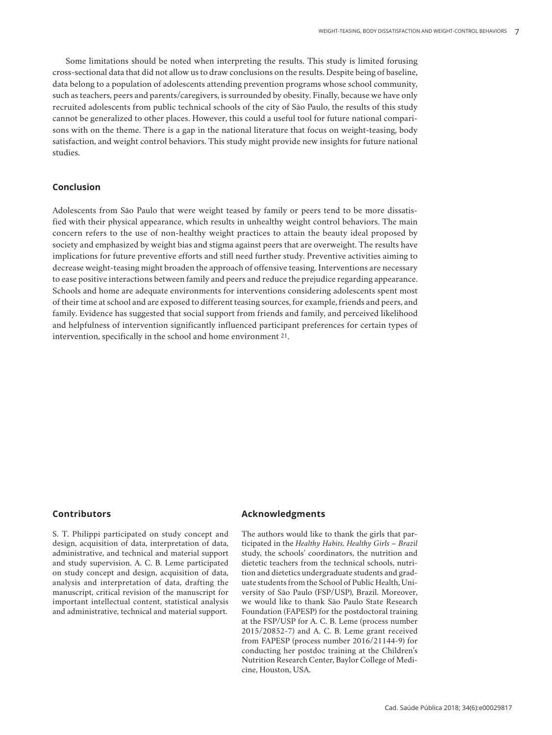Some limitations should be noted when interpreting the results. This study is limited forusing cross-sectional data that did not allow us to draw conclusions on the results. Despite being of baseline, data belong to a population of adolescents attending prevention programs whose school community, such as teachers, peers and parents/caregivers, is surrounded by obesity. Finally, because we have only recruited adolescents from public technical schools of the city of São Paulo, the results of this study cannot be generalized to other places. However, this could a useful tool for future national comparisons with on the theme. There is a gap in the national literature that focus on weight-teasing, body satisfaction, and weight control behaviors. This study might provide new insights for future national studies.

# **Conclusion**

Adolescents from São Paulo that were weight teased by family or peers tend to be more dissatisfied with their physical appearance, which results in unhealthy weight control behaviors. The main concern refers to the use of non-healthy weight practices to attain the beauty ideal proposed by society and emphasized by weight bias and stigma against peers that are overweight. The results have implications for future preventive efforts and still need further study. Preventive activities aiming to decrease weight-teasing might broaden the approach of offensive teasing. Interventions are necessary to ease positive interactions between family and peers and reduce the prejudice regarding appearance. Schools and home are adequate environments for interventions considering adolescents spent most of their time at school and are exposed to different teasing sources, for example, friends and peers, and family. Evidence has suggested that social support from friends and family, and perceived likelihood and helpfulness of intervention significantly influenced participant preferences for certain types of intervention, specifically in the school and home environment 21.

#### **Contributors**

S. T. Philippi participated on study concept and design, acquisition of data, interpretation of data, administrative, and technical and material support and study supervision. A. C. B. Leme participated on study concept and design, acquisition of data, analysis and interpretation of data, drafting the manuscript, critical revision of the manuscript for important intellectual content, statistical analysis and administrative, technical and material support.

## **Acknowledgments**

The authors would like to thank the girls that participated in the *Healthy Habits, Healthy Girls – Brazil* study, the schools' coordinators, the nutrition and dietetic teachers from the technical schools, nutrition and dietetics undergraduate students and graduate students from the School of Public Health, University of São Paulo (FSP/USP), Brazil. Moreover, we would like to thank São Paulo State Research Foundation (FAPESP) for the postdoctoral training at the FSP/USP for A. C. B. Leme (process number 2015/20852-7) and A. C. B. Leme grant received from FAPESP (process number 2016/21144-9) for conducting her postdoc training at the Children's Nutrition Research Center, Baylor College of Medicine, Houston, USA.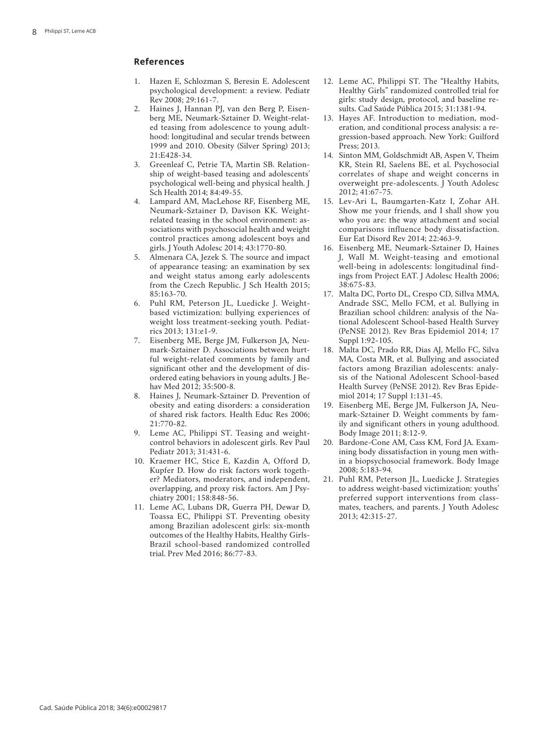## **References**

- 1. Hazen E, Schlozman S, Beresin E. Adolescent psychological development: a review. Pediatr Rev 2008; 29:161-7.
- 2. Haines J, Hannan PJ, van den Berg P, Eisenberg ME, Neumark-Sztainer D. Weight-related teasing from adolescence to young adulthood: longitudinal and secular trends between 1999 and 2010. Obesity (Silver Spring) 2013; 21:E428-34.
- 3. Greenleaf C, Petrie TA, Martin SB. Relationship of weight-based teasing and adolescents' psychological well-being and physical health. J Sch Health 2014; 84:49-55.
- 4. Lampard AM, MacLehose RF, Eisenberg ME, Neumark-Sztainer D, Davison KK. Weightrelated teasing in the school environment: associations with psychosocial health and weight control practices among adolescent boys and girls. J Youth Adolesc 2014; 43:1770-80.
- 5. Almenara CA, Jezek S. The source and impact of appearance teasing: an examination by sex and weight status among early adolescents from the Czech Republic. J Sch Health 2015; 85:163-70.
- 6. Puhl RM, Peterson JL, Luedicke J. Weightbased victimization: bullying experiences of weight loss treatment-seeking youth. Pediatrics 2013; 131:e1-9.
- 7. Eisenberg ME, Berge JM, Fulkerson JA, Neumark-Sztainer D. Associations between hurtful weight-related comments by family and significant other and the development of disordered eating behaviors in young adults. J Behav Med 2012; 35:500-8.
- 8. Haines J, Neumark-Sztainer D. Prevention of obesity and eating disorders: a consideration of shared risk factors. Health Educ Res 2006; 21:770-82.
- 9. Leme AC, Philippi ST. Teasing and weightcontrol behaviors in adolescent girls. Rev Paul Pediatr 2013; 31:431-6.
- 10. Kraemer HC, Stice E, Kazdin A, Offord D, Kupfer D. How do risk factors work together? Mediators, moderators, and independent, overlapping, and proxy risk factors. Am J Psychiatry 2001; 158:848-56.
- 11. Leme AC, Lubans DR, Guerra PH, Dewar D, Toassa EC, Philippi ST. Preventing obesity among Brazilian adolescent girls: six-month outcomes of the Healthy Habits, Healthy Girls-Brazil school-based randomized controlled trial. Prev Med 2016; 86:77-83.
- 12. Leme AC, Philippi ST. The "Healthy Habits, Healthy Girls" randomized controlled trial for girls: study design, protocol, and baseline results. Cad Saúde Pública 2015; 31:1381-94.
- 13. Hayes AF. Introduction to mediation, moderation, and conditional process analysis: a regression-based approach. New York: Guilford Press; 2013.
- 14. Sinton MM, Goldschmidt AB, Aspen V, Theim KR, Stein RI, Saelens BE, et al. Psychosocial correlates of shape and weight concerns in overweight pre-adolescents. J Youth Adolesc 2012; 41:67-75.
- 15. Lev-Ari L, Baumgarten-Katz I, Zohar AH. Show me your friends, and I shall show you who you are: the way attachment and social comparisons influence body dissatisfaction. Eur Eat Disord Rev 2014; 22:463-9.
- 16. Eisenberg ME, Neumark-Sztainer D, Haines J, Wall M. Weight-teasing and emotional well-being in adolescents: longitudinal findings from Project EAT. J Adolesc Health 2006; 38:675-83.
- 17. Malta DC, Porto DL, Crespo CD, SiIlva MMA, Andrade SSC, Mello FCM, et al. Bullying in Brazilian school children: analysis of the National Adolescent School-based Health Survey (PeNSE 2012). Rev Bras Epidemiol 2014; 17 Suppl 1:92-105.
- 18. Malta DC, Prado RR, Dias AJ, Mello FC, Silva MA, Costa MR, et al. Bullying and associated factors among Brazilian adolescents: analysis of the National Adolescent School-based Health Survey (PeNSE 2012). Rev Bras Epidemiol 2014; 17 Suppl 1:131-45.
- 19. Eisenberg ME, Berge JM, Fulkerson JA, Neumark-Sztainer D. Weight comments by family and significant others in young adulthood. Body Image 2011; 8:12-9.
- 20. Bardone-Cone AM, Cass KM, Ford JA. Examining body dissatisfaction in young men within a biopsychosocial framework. Body Image 2008; 5:183-94.
- 21. Puhl RM, Peterson JL, Luedicke J. Strategies to address weight-based victimization: youths' preferred support interventions from classmates, teachers, and parents. J Youth Adolesc 2013; 42:315-27.